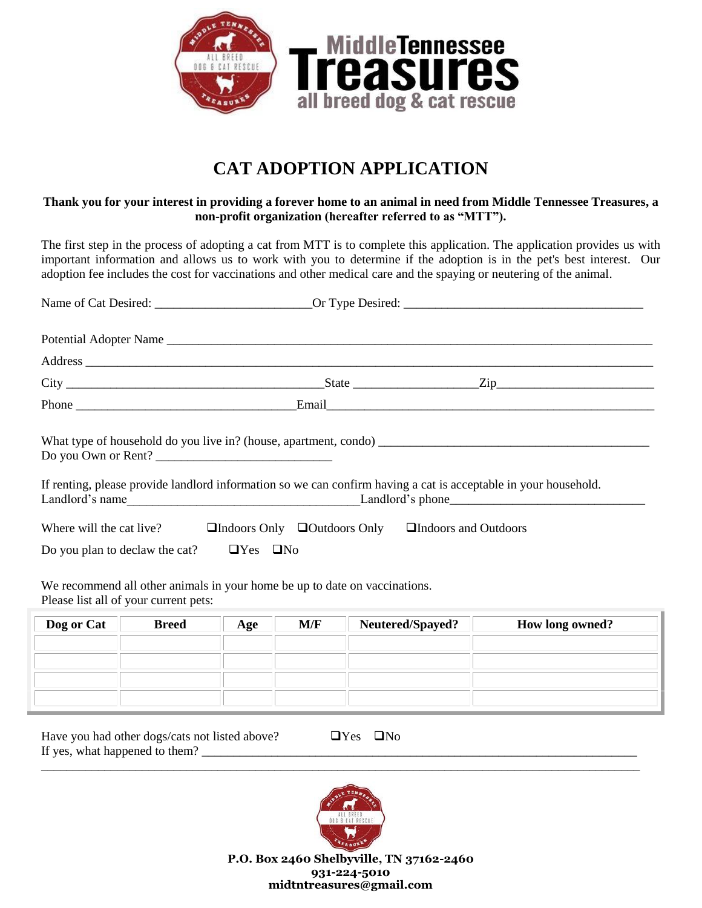

## **CAT ADOPTION APPLICATION**

## **Thank you for your interest in providing a forever home to an animal in need from Middle Tennessee Treasures, a non-profit organization (hereafter referred to as "MTT").**

The first step in the process of adopting a cat from MTT is to complete this application. The application provides us with important information and allows us to work with you to determine if the adoption is in the pet's best interest. Our adoption fee includes the cost for vaccinations and other medical care and the spaying or neutering of the animal.

|               | Do you Own or Rent?                                                                                                                 |     |     | If renting, please provide landlord information so we can confirm having a cat is acceptable in your household. |                 |
|---------------|-------------------------------------------------------------------------------------------------------------------------------------|-----|-----|-----------------------------------------------------------------------------------------------------------------|-----------------|
|               | Do you plan to declaw the cat? $\Box$ Yes $\Box$ No                                                                                 |     |     | Where will the cat live? $\Box$ Indoors Only $\Box$ Outdoors Only $\Box$ Indoors and Outdoors                   |                 |
| $\log$ or Cat | We recommend all other animals in your home be up to date on vaccinations.<br>Please list all of your current pets:<br><b>Breed</b> | Age | M/F | Neutered/Spayed?                                                                                                | How long owned? |
|               |                                                                                                                                     |     |     |                                                                                                                 |                 |
|               |                                                                                                                                     |     |     |                                                                                                                 |                 |

| Have you had other dogs/cats not listed above? | $\Box$ Yes $\Box$ No |
|------------------------------------------------|----------------------|
| If yes, what happened to them?                 |                      |



\_\_\_\_\_\_\_\_\_\_\_\_\_\_\_\_\_\_\_\_\_\_\_\_\_\_\_\_\_\_\_\_\_\_\_\_\_\_\_\_\_\_\_\_\_\_\_\_\_\_\_\_\_\_\_\_\_\_\_\_\_\_\_\_\_\_\_\_\_\_\_\_\_\_\_\_\_\_\_\_\_\_\_\_\_\_\_\_\_\_\_\_\_\_\_

**P.O. Box 2460 Shelbyville, TN 37162-2460 931-224-5010 midtntreasures@gmail.com**